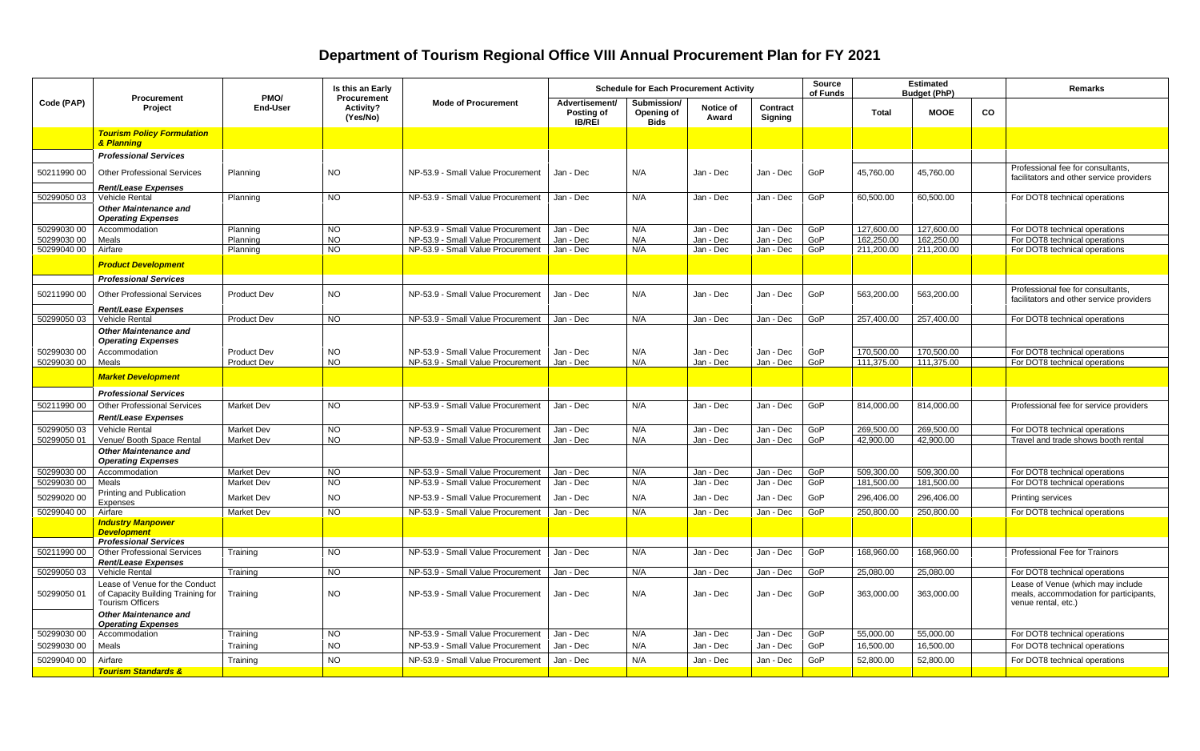## **Department of Tourism Regional Office VIII Annual Procurement Plan for FY 2021**

| Code (PAP)  | <b>Procurement</b><br>Project                                                                  | PMO/<br><b>Procurement</b><br><b>End-User</b><br>Activity?<br>(Yes/No) | Is this an Early | <b>Mode of Procurement</b>                                             | <b>Schedule for Each Procurement Activity</b> |                                          |                    |                            | <b>Source</b><br>of Funds | <b>Estimated</b><br><b>Budget (PhP)</b> |             |    | Remarks                                                                                            |
|-------------|------------------------------------------------------------------------------------------------|------------------------------------------------------------------------|------------------|------------------------------------------------------------------------|-----------------------------------------------|------------------------------------------|--------------------|----------------------------|---------------------------|-----------------------------------------|-------------|----|----------------------------------------------------------------------------------------------------|
|             |                                                                                                |                                                                        |                  |                                                                        | Advertisement/<br>Posting of<br><b>IB/REI</b> | Submission/<br>Opening of<br><b>Bids</b> | Notice of<br>Award | Contract<br><b>Signing</b> |                           | <b>Total</b>                            | <b>MOOE</b> | CO |                                                                                                    |
|             | <b>Tourism Policy Formulation</b><br>& Planning                                                |                                                                        |                  |                                                                        |                                               |                                          |                    |                            |                           |                                         |             |    |                                                                                                    |
|             | <b>Professional Services</b>                                                                   |                                                                        |                  |                                                                        |                                               |                                          |                    |                            |                           |                                         |             |    |                                                                                                    |
| 5021199000  | <b>Other Professional Services</b>                                                             | Planning                                                               | <b>NO</b>        | NP-53.9 - Small Value Procurement                                      | Jan - Dec                                     | N/A                                      | Jan - Dec          | Jan - Dec                  | GoP                       | 45,760.00                               | 45,760.00   |    | Professional fee for consultants,<br>facilitators and other service providers                      |
| 50299050 03 | <b>Rent/Lease Expenses</b><br>Vehicle Rental                                                   | Planning                                                               | <b>NO</b>        | NP-53.9 - Small Value Procurement                                      | Jan - Dec                                     | N/A                                      | Jan - Dec          | Jan - Dec                  | GoP                       | 60,500.00                               | 60,500.00   |    |                                                                                                    |
|             | <b>Other Maintenance and</b>                                                                   |                                                                        |                  |                                                                        |                                               |                                          |                    |                            |                           |                                         |             |    | For DOT8 technical operations                                                                      |
|             | <b>Operating Expenses</b>                                                                      |                                                                        |                  |                                                                        |                                               |                                          |                    |                            |                           |                                         |             |    |                                                                                                    |
| 50299030 00 | Accommodation                                                                                  | Planning                                                               | <b>NO</b>        | NP-53.9 - Small Value Procurement                                      | Jan - Dec                                     | N/A                                      | Jan - Dec          | Jan - Dec                  | GoP                       | 127,600.00                              | 127,600.00  |    | For DOT8 technical operations                                                                      |
| 50299030 00 | Meals                                                                                          | Planning                                                               | <b>NO</b>        | NP-53.9 - Small Value Procurement                                      | Jan - Dec                                     | N/A                                      | Jan - Dec          | Jan - Dec                  | GoP                       | 162,250.00                              | 162,250.00  |    | For DOT8 technical operations                                                                      |
| 50299040 00 | Airfare                                                                                        | Planning                                                               | <b>NO</b>        | NP-53.9 - Small Value Procurement                                      | Jan - Dec                                     | N/A                                      | Jan - Dec          | Jan - Dec                  | GoP                       | 211,200.00                              | 211,200.00  |    | For DOT8 technical operations                                                                      |
|             | <b>Product Development</b>                                                                     |                                                                        |                  |                                                                        |                                               |                                          |                    |                            |                           |                                         |             |    |                                                                                                    |
|             | <b>Professional Services</b>                                                                   |                                                                        |                  |                                                                        |                                               |                                          |                    |                            |                           |                                         |             |    | Professional fee for consultants,                                                                  |
| 50211990 00 | <b>Other Professional Services</b>                                                             | <b>Product Dev</b>                                                     | NO.              | NP-53.9 - Small Value Procurement                                      | Jan - Dec                                     | N/A                                      | Jan - Dec          | Jan - Dec                  | GoP                       | 563,200.00                              | 563,200.00  |    | facilitators and other service providers                                                           |
|             | <b>Rent/Lease Expenses</b>                                                                     |                                                                        |                  |                                                                        |                                               |                                          |                    |                            |                           |                                         |             |    |                                                                                                    |
| 50299050 03 | <b>Vehicle Rental</b><br><b>Other Maintenance and</b>                                          | <b>Product Dev</b>                                                     | <b>NO</b>        | NP-53.9 - Small Value Procurement                                      | Jan - Dec                                     | N/A                                      | Jan - Dec          | Jan - Dec                  | GoP                       | 257,400.00                              | 257,400.00  |    | For DOT8 technical operations                                                                      |
|             | <b>Operating Expenses</b>                                                                      |                                                                        |                  |                                                                        |                                               |                                          |                    |                            |                           |                                         |             |    |                                                                                                    |
| 50299030 00 | Accommodation                                                                                  | <b>Product Dev</b><br><b>Product Dev</b>                               | <b>NO</b>        | NP-53.9 - Small Value Procurement<br>NP-53.9 - Small Value Procurement | Jan - Dec                                     | N/A                                      | Jan - Dec          | Jan - Dec                  | GoP                       | 170,500.00                              | 170,500.00  |    | For DOT8 technical operations                                                                      |
| 50299030 00 | Meals                                                                                          |                                                                        | <b>NO</b>        |                                                                        | Jan - Dec                                     | N/A                                      | Jan - Dec          | Jan - Dec                  | GoP                       | 111,375.00                              | 111,375.00  |    | For DOT8 technical operations                                                                      |
|             | <b>Market Development</b>                                                                      |                                                                        |                  |                                                                        |                                               |                                          |                    |                            |                           |                                         |             |    |                                                                                                    |
|             | <b>Professional Services</b>                                                                   |                                                                        |                  |                                                                        |                                               |                                          |                    |                            |                           |                                         |             |    |                                                                                                    |
| 50211990 00 | <b>Other Professional Services</b>                                                             | <b>Market Dev</b>                                                      | NO               | NP-53.9 - Small Value Procurement                                      | Jan - Dec                                     | N/A                                      | Jan - Dec          | Jan - Dec                  | GoP                       | 814.000.00                              | 814,000.00  |    | Professional fee for service providers                                                             |
|             | <b>Rent/Lease Expenses</b>                                                                     |                                                                        |                  |                                                                        |                                               |                                          |                    |                            |                           |                                         |             |    |                                                                                                    |
| 5029905003  | <b>Vehicle Rental</b>                                                                          | <b>Market Dev</b>                                                      | <b>NO</b>        | NP-53.9 - Small Value Procurement                                      | Jan - Dec                                     | N/A                                      | Jan - Dec          | Jan - Dec                  | GoP                       | 269,500.00                              | 269,500.00  |    | For DOT8 technical operations                                                                      |
| 50299050 01 | Venue/ Booth Space Rental                                                                      | <b>Market Dev</b>                                                      | NO               | NP-53.9 - Small Value Procurement                                      | Jan - Dec                                     | N/A                                      | Jan - Dec          | Jan - Dec                  | GoP                       | 42,900.00                               | 42,900.00   |    | Travel and trade shows booth rental                                                                |
|             | <b>Other Maintenance and</b><br><b>Operating Expenses</b>                                      |                                                                        |                  |                                                                        |                                               |                                          |                    |                            |                           |                                         |             |    |                                                                                                    |
| 5029903000  | Accommodation                                                                                  | Market Dev                                                             | <b>NO</b>        | NP-53.9 - Small Value Procurement                                      | Jan - Dec                                     | N/A                                      | Jan - Dec          | Jan - Dec                  | GoP                       | 509,300.00                              | 509,300.00  |    | For DOT8 technical operations                                                                      |
| 50299030 00 | Meals                                                                                          | <b>Market Dev</b>                                                      | <b>NO</b>        | NP-53.9 - Small Value Procurement                                      | Jan - Dec                                     | N/A                                      | Jan - Dec          | Jan - Dec                  | GoP                       | 181,500.00                              | 181,500.00  |    | For DOT8 technical operations                                                                      |
| 50299020 00 | Printing and Publication<br>Expenses                                                           | <b>Market Dev</b>                                                      | <b>NO</b>        | NP-53.9 - Small Value Procurement                                      | Jan - Dec                                     | N/A                                      | Jan - Dec          | Jan - Dec                  | GoP                       | 296,406.00                              | 296,406.00  |    | <b>Printing services</b>                                                                           |
| 50299040 00 | Airfare                                                                                        | <b>Market Dev</b>                                                      | <b>NO</b>        | NP-53.9 - Small Value Procurement                                      | Jan - Dec                                     | N/A                                      | Jan - Dec          | Jan - Dec                  | GoP                       | 250,800.00                              | 250,800.00  |    | For DOT8 technical operations                                                                      |
|             | <b>Industry Manpower</b><br><b>Development</b>                                                 |                                                                        |                  |                                                                        |                                               |                                          |                    |                            |                           |                                         |             |    |                                                                                                    |
|             | <b>Professional Services</b>                                                                   |                                                                        |                  |                                                                        |                                               |                                          |                    |                            |                           |                                         |             |    |                                                                                                    |
| 50211990 00 | <b>Other Professional Services</b>                                                             | Training                                                               | $\overline{3}$   | NP-53.9 - Small Value Procurement                                      | Jan - Dec                                     | N/A                                      | Jan - Dec          | Jan - Dec                  | GoP                       | 168,960.00                              | 168,960.00  |    | Professional Fee for Trainors                                                                      |
|             | <b>Rent/Lease Expenses</b>                                                                     |                                                                        |                  |                                                                        |                                               |                                          |                    |                            |                           |                                         |             |    |                                                                                                    |
| 50299050 03 | Vehicle Rental                                                                                 | Training                                                               | N <sub>O</sub>   | NP-53.9 - Small Value Procurement                                      | Jan - Dec                                     | N/A                                      | Jan - Dec          | Jan - Dec                  | GoP                       | 25,080.00                               | 25,080.00   |    | For DOT8 technical operations                                                                      |
| 50299050 01 | Lease of Venue for the Conduct<br>of Capacity Building Training for<br><b>Tourism Officers</b> | Training                                                               | NO.              | NP-53.9 - Small Value Procurement                                      | Jan - Dec                                     | N/A                                      | Jan - Dec          | Jan - Dec                  | GoP                       | 363,000.00                              | 363,000.00  |    | Lease of Venue (which may include<br>meals, accommodation for participants,<br>venue rental, etc.) |
|             | <b>Other Maintenance and</b><br><b>Operating Expenses</b>                                      |                                                                        |                  |                                                                        |                                               |                                          |                    |                            |                           |                                         |             |    |                                                                                                    |
| 50299030 00 | Accommodation                                                                                  | Training                                                               | <b>NO</b>        | NP-53.9 - Small Value Procurement                                      | Jan - Dec                                     | N/A                                      | Jan - Dec          | Jan - Dec                  | GoP                       | 55,000.00                               | 55,000.00   |    | For DOT8 technical operations                                                                      |
| 50299030 00 | Meals                                                                                          | Training                                                               | <b>NO</b>        | NP-53.9 - Small Value Procurement                                      | Jan - Dec                                     | N/A                                      | Jan - Dec          | Jan - Dec                  | GoP                       | 16,500.00                               | 16,500.00   |    | For DOT8 technical operations                                                                      |
| 50299040 00 | Airfare                                                                                        | Training                                                               | <b>NO</b>        | NP-53.9 - Small Value Procurement                                      | Jan - Dec                                     | N/A                                      | Jan - Dec          | Jan - Dec                  | GoP                       | 52,800.00                               | 52,800.00   |    | For DOT8 technical operations                                                                      |
|             | <b>Tourism Standards &amp;</b>                                                                 |                                                                        |                  |                                                                        |                                               |                                          |                    |                            |                           |                                         |             |    |                                                                                                    |